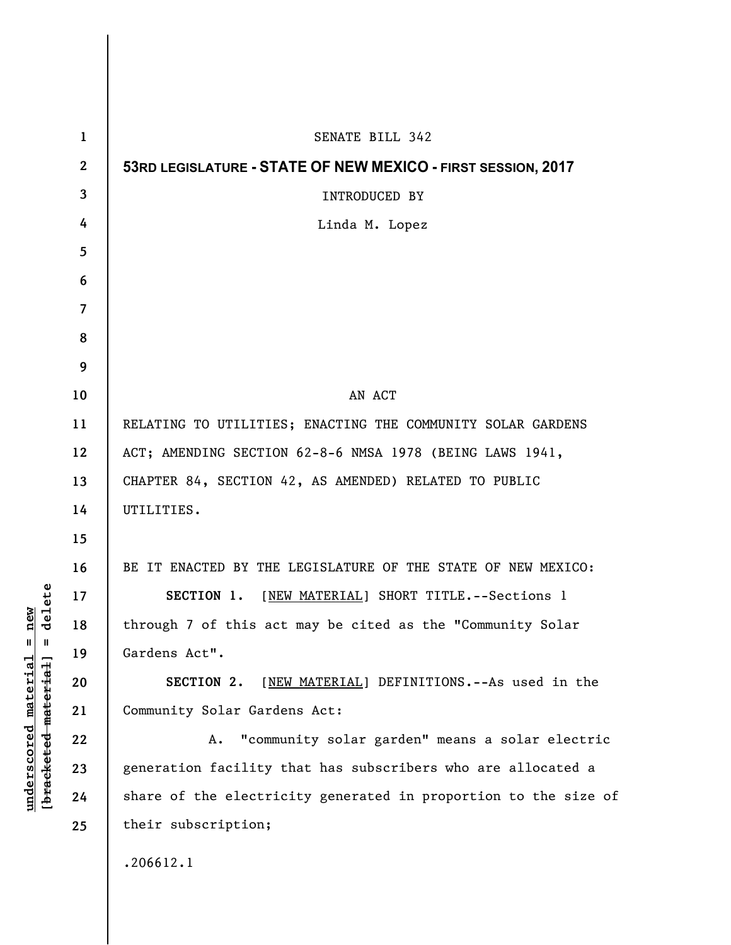| $\mathbf 1$    | SENATE BILL 342                                                 |
|----------------|-----------------------------------------------------------------|
| $\mathbf{2}$   | 53RD LEGISLATURE - STATE OF NEW MEXICO - FIRST SESSION, 2017    |
| $\mathbf{3}$   | INTRODUCED BY                                                   |
| 4              | Linda M. Lopez                                                  |
| 5              |                                                                 |
| 6              |                                                                 |
| $\overline{7}$ |                                                                 |
| 8              |                                                                 |
| 9              |                                                                 |
| 10             | AN ACT                                                          |
| 11             | RELATING TO UTILITIES; ENACTING THE COMMUNITY SOLAR GARDENS     |
| 12             | ACT; AMENDING SECTION 62-8-6 NMSA 1978 (BEING LAWS 1941,        |
| 13             | CHAPTER 84, SECTION 42, AS AMENDED) RELATED TO PUBLIC           |
| 14             | UTILITIES.                                                      |
| 15             |                                                                 |
| 16             | BE IT ENACTED BY THE LEGISLATURE OF THE STATE OF NEW MEXICO:    |
| 17             | SECTION 1. [NEW MATERIAL] SHORT TITLE. -- Sections 1            |
| 18             | through 7 of this act may be cited as the "Community Solar      |
| 19             | Gardens Act".                                                   |
| 20             | SECTION 2. [NEW MATERIAL] DEFINITIONS. -- As used in the        |
| 21             | Community Solar Gardens Act:                                    |
| 22             | "community solar garden" means a solar electric<br>Α.           |
| 23             | generation facility that has subscribers who are allocated a    |
| 24             | share of the electricity generated in proportion to the size of |
| 25             | their subscription;                                             |
|                | .206612.1                                                       |
|                |                                                                 |

 $\mathsf{l}$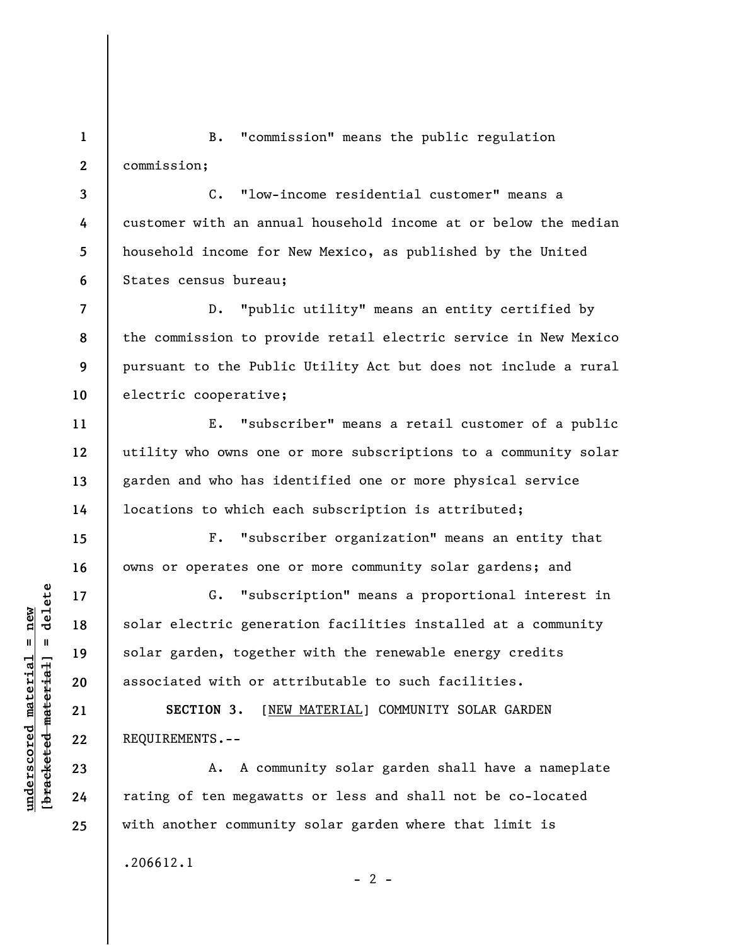**1 2**  B. "commission" means the public regulation commission;

**3 4 5 6**  C. "low-income residential customer" means a customer with an annual household income at or below the median household income for New Mexico, as published by the United States census bureau;

**7 8 9 10**  D. "public utility" means an entity certified by the commission to provide retail electric service in New Mexico pursuant to the Public Utility Act but does not include a rural electric cooperative;

E. "subscriber" means a retail customer of a public utility who owns one or more subscriptions to a community solar garden and who has identified one or more physical service locations to which each subscription is attributed;

F. "subscriber organization" means an entity that owns or operates one or more community solar gardens; and

G. "subscription" means a proportional interest in solar electric generation facilities installed at a community solar garden, together with the renewable energy credits associated with or attributable to such facilities.

**SECTION 3.** [NEW MATERIAL] COMMUNITY SOLAR GARDEN REQUIREMENTS.--

A. A community solar garden shall have a nameplate rating of ten megawatts or less and shall not be co-located with another community solar garden where that limit is

.206612.1

 $\frac{1}{2}$  intereted material = delete **[bracketed material] = delete**  $underscored material = new$ **underscored material = new**

**11** 

**12** 

**13** 

**14** 

**15** 

**16** 

**17** 

**18** 

**19** 

**20** 

**21** 

**22** 

**23** 

**24** 

**25** 

 $- 2 -$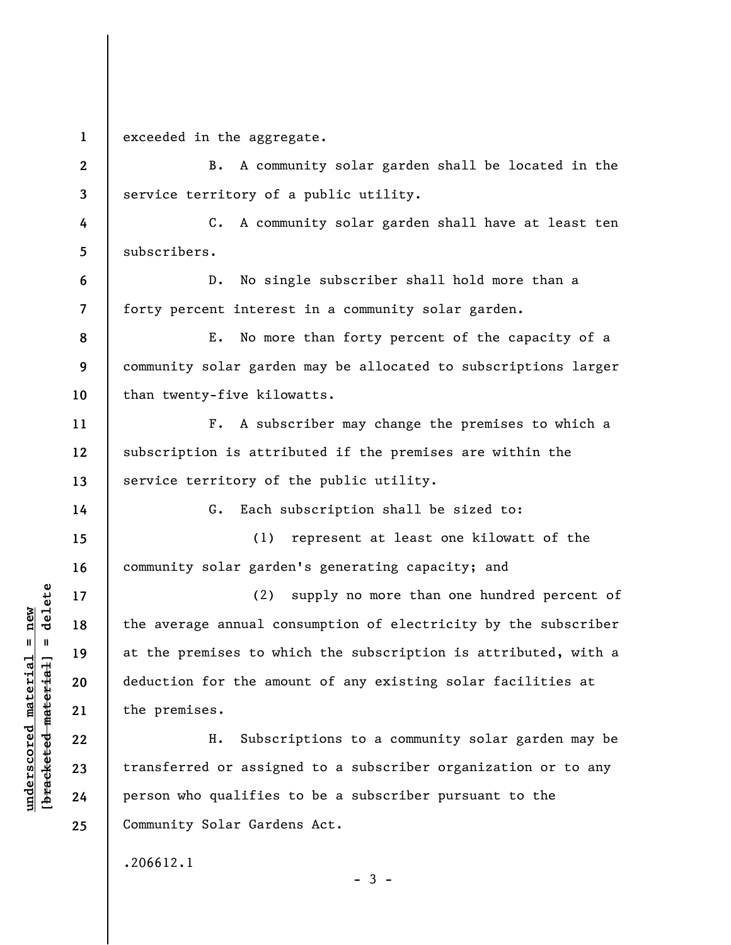**1**  exceeded in the aggregate.

**2 3**  B. A community solar garden shall be located in the service territory of a public utility.

**4 5**  C. A community solar garden shall have at least ten subscribers.

**6 7**  D. No single subscriber shall hold more than a forty percent interest in a community solar garden.

**8 9 10**  E. No more than forty percent of the capacity of a community solar garden may be allocated to subscriptions larger than twenty-five kilowatts.

F. A subscriber may change the premises to which a subscription is attributed if the premises are within the service territory of the public utility.

G. Each subscription shall be sized to:

**15 16**  (1) represent at least one kilowatt of the community solar garden's generating capacity; and

(2) supply no more than one hundred percent of the average annual consumption of electricity by the subscriber at the premises to which the subscription is attributed, with a deduction for the amount of any existing solar facilities at the premises.

H. Subscriptions to a community solar garden may be transferred or assigned to a subscriber organization or to any person who qualifies to be a subscriber pursuant to the Community Solar Gardens Act.

 $-3 -$ 

.206612.1

 $\frac{1}{2}$  intereted material = delete **[bracketed material] = delete**  $underscored material = new$ **underscored material = new**

**11** 

**12** 

**13** 

**14** 

**17** 

**18** 

**19** 

**20** 

**21** 

**22** 

**23** 

**24**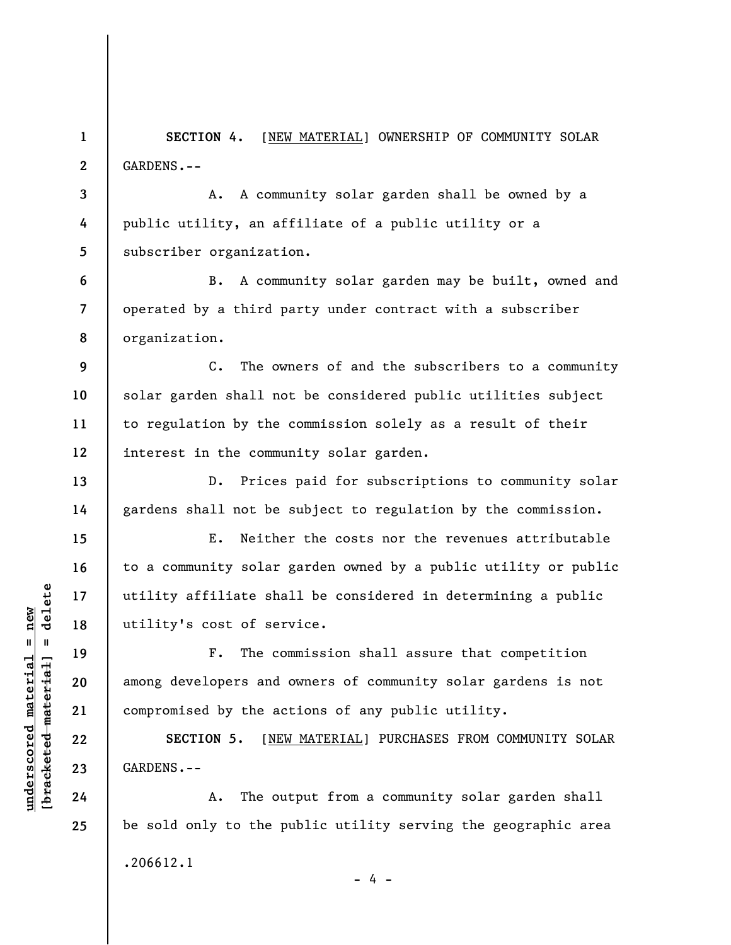**1 2**  SECTION 4. [NEW MATERIAL] OWNERSHIP OF COMMUNITY SOLAR GARDENS.--

**3 4 5**  A. A community solar garden shall be owned by a public utility, an affiliate of a public utility or a subscriber organization.

**6 7 8**  B. A community solar garden may be built, owned and operated by a third party under contract with a subscriber organization.

C. The owners of and the subscribers to a community solar garden shall not be considered public utilities subject to regulation by the commission solely as a result of their interest in the community solar garden.

D. Prices paid for subscriptions to community solar gardens shall not be subject to regulation by the commission.

E. Neither the costs nor the revenues attributable to a community solar garden owned by a public utility or public utility affiliate shall be considered in determining a public utility's cost of service.

F. The commission shall assure that competition among developers and owners of community solar gardens is not compromised by the actions of any public utility.

**SECTION 5.** [NEW MATERIAL] PURCHASES FROM COMMUNITY SOLAR GARDENS.--

A. The output from a community solar garden shall be sold only to the public utility serving the geographic area .206612.1 - 4 -

 $\frac{1}{2}$  intereted material = delete **[bracketed material] = delete**  $underscored material = new$ **underscored material = new**

**9** 

**10** 

**11** 

**12** 

**13** 

**14** 

**15** 

**16** 

**17** 

**18** 

**19** 

**20** 

**21** 

**22** 

**23** 

**24**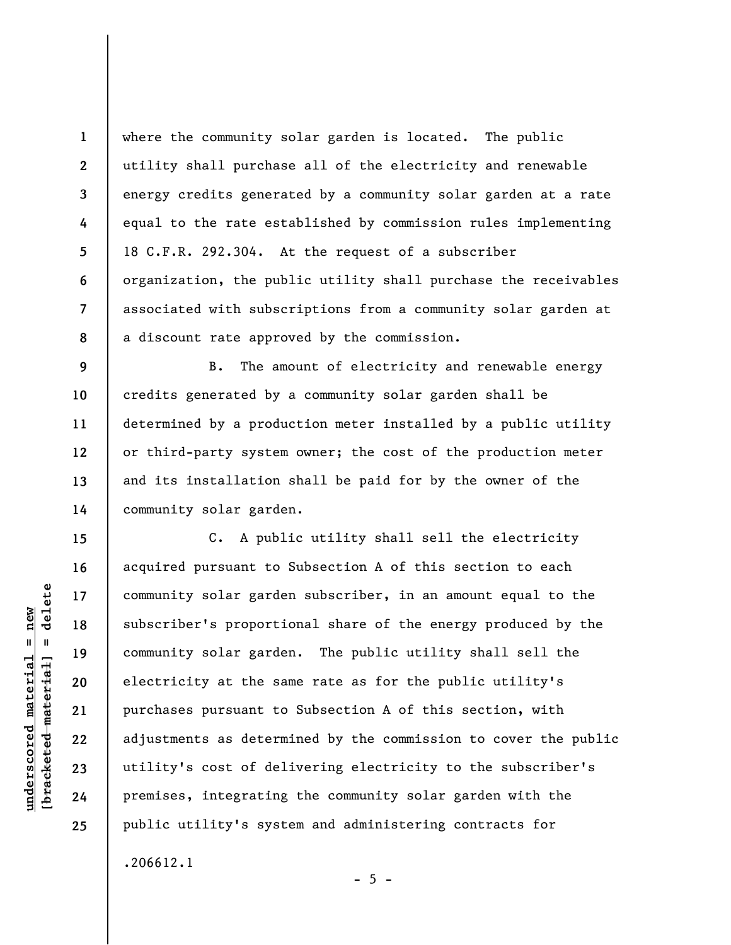**1 2 3 4 5 6 7 8**  where the community solar garden is located. The public utility shall purchase all of the electricity and renewable energy credits generated by a community solar garden at a rate equal to the rate established by commission rules implementing 18 C.F.R. 292.304. At the request of a subscriber organization, the public utility shall purchase the receivables associated with subscriptions from a community solar garden at a discount rate approved by the commission.

B. The amount of electricity and renewable energy credits generated by a community solar garden shall be determined by a production meter installed by a public utility or third-party system owner; the cost of the production meter and its installation shall be paid for by the owner of the community solar garden.

C. A public utility shall sell the electricity acquired pursuant to Subsection A of this section to each community solar garden subscriber, in an amount equal to the subscriber's proportional share of the energy produced by the community solar garden. The public utility shall sell the electricity at the same rate as for the public utility's purchases pursuant to Subsection A of this section, with adjustments as determined by the commission to cover the public utility's cost of delivering electricity to the subscriber's premises, integrating the community solar garden with the public utility's system and administering contracts for .206612.1

 $- 5 -$ 

**9** 

**10** 

**11** 

**12** 

**13** 

**14** 

**15** 

**16** 

**17** 

**18** 

**19** 

**20** 

**21** 

**22** 

**23** 

**24**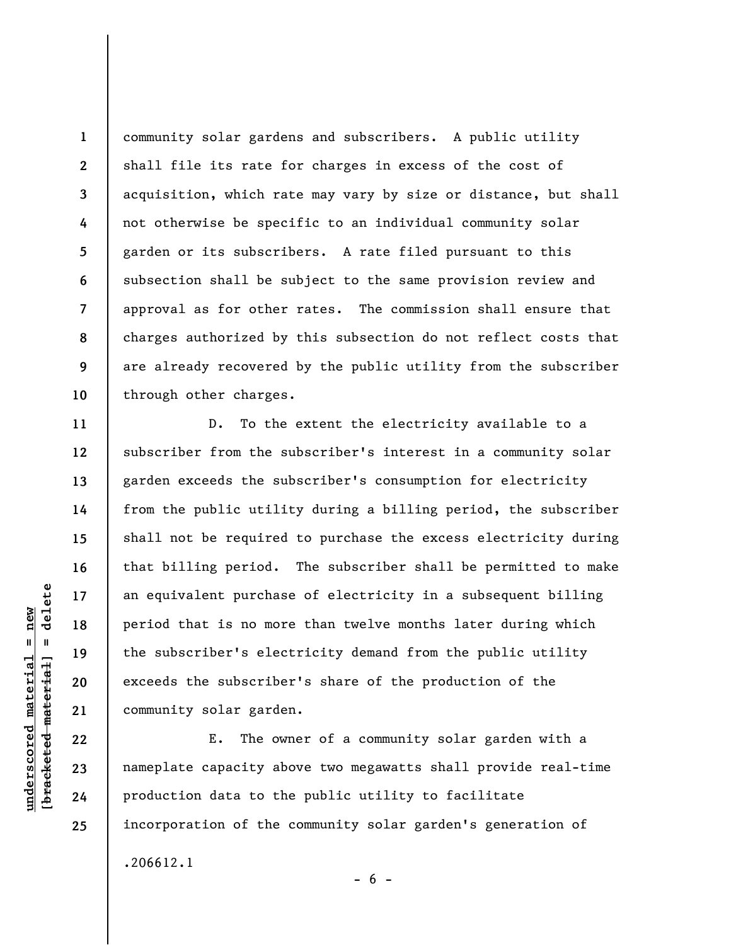**1 2 3 4 5 6 7 8 9 10**  community solar gardens and subscribers. A public utility shall file its rate for charges in excess of the cost of acquisition, which rate may vary by size or distance, but shall not otherwise be specific to an individual community solar garden or its subscribers. A rate filed pursuant to this subsection shall be subject to the same provision review and approval as for other rates. The commission shall ensure that charges authorized by this subsection do not reflect costs that are already recovered by the public utility from the subscriber through other charges.

D. To the extent the electricity available to a subscriber from the subscriber's interest in a community solar garden exceeds the subscriber's consumption for electricity from the public utility during a billing period, the subscriber shall not be required to purchase the excess electricity during that billing period. The subscriber shall be permitted to make an equivalent purchase of electricity in a subsequent billing period that is no more than twelve months later during which the subscriber's electricity demand from the public utility exceeds the subscriber's share of the production of the community solar garden.

E. The owner of a community solar garden with a nameplate capacity above two megawatts shall provide real-time production data to the public utility to facilitate incorporation of the community solar garden's generation of .206612.1  $- 6 -$ 

**11** 

**12** 

**13** 

**14** 

**15** 

**16** 

**17** 

**18** 

**19** 

**20** 

**21** 

**22** 

**23** 

**24**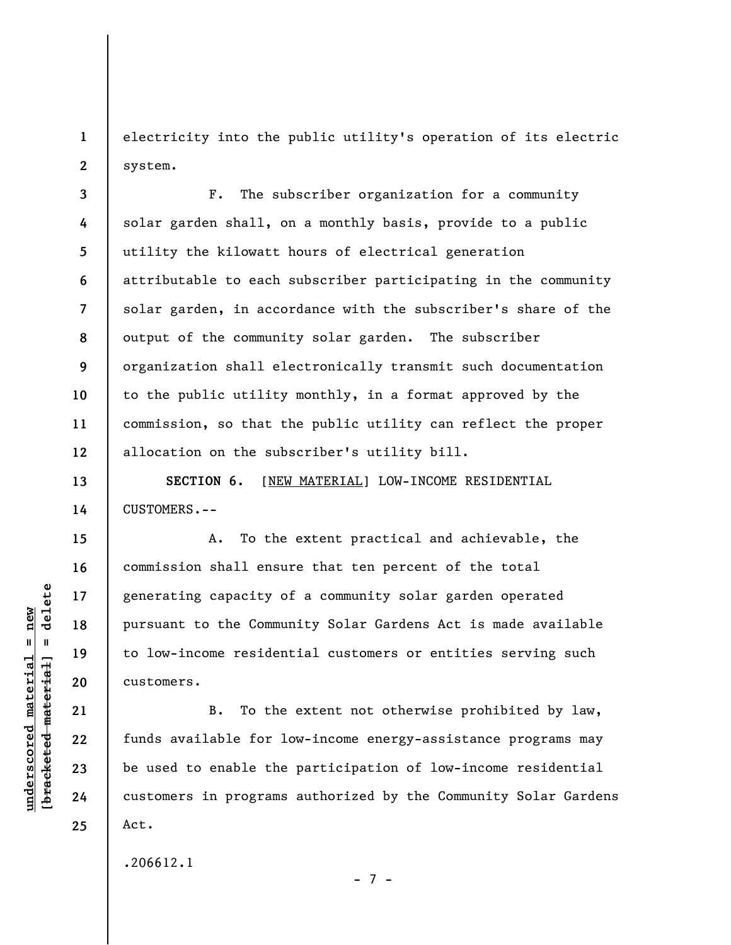**1 2**  electricity into the public utility's operation of its electric system.

**3 4 5 6 7 8 9 10 11 12**  F. The subscriber organization for a community solar garden shall, on a monthly basis, provide to a public utility the kilowatt hours of electrical generation attributable to each subscriber participating in the community solar garden, in accordance with the subscriber's share of the output of the community solar garden. The subscriber organization shall electronically transmit such documentation to the public utility monthly, in a format approved by the commission, so that the public utility can reflect the proper allocation on the subscriber's utility bill.

**SECTION 6.** [NEW MATERIAL] LOW-INCOME RESIDENTIAL CUSTOMERS.--

A. To the extent practical and achievable, the commission shall ensure that ten percent of the total generating capacity of a community solar garden operated pursuant to the Community Solar Gardens Act is made available to low-income residential customers or entities serving such customers.

B. To the extent not otherwise prohibited by law, funds available for low-income energy-assistance programs may be used to enable the participation of low-income residential customers in programs authorized by the Community Solar Gardens Act.

- 7 -

.206612.1

 $\frac{1}{2}$  intereted material = delete **[bracketed material] = delete**  $underscored material = new$ **underscored material = new**

**13** 

**14** 

**15** 

**16** 

**17** 

**18** 

**19** 

**20** 

**21** 

**22** 

**23** 

**24**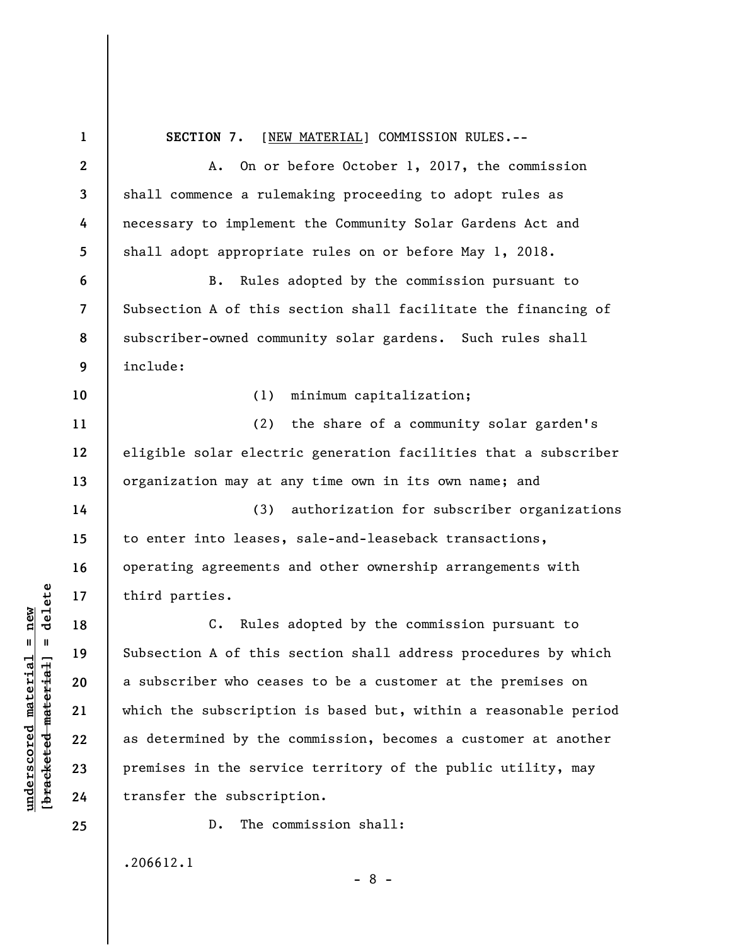**1 2 3 4 5 6 7 8 9 10 11 12 13 14 15 16 17 18 19 20 21 22 23 24 25 SECTION 7.** [NEW MATERIAL] COMMISSION RULES.-- A. On or before October 1, 2017, the commission shall commence a rulemaking proceeding to adopt rules as necessary to implement the Community Solar Gardens Act and shall adopt appropriate rules on or before May 1, 2018. B. Rules adopted by the commission pursuant to Subsection A of this section shall facilitate the financing of subscriber-owned community solar gardens. Such rules shall include: (1) minimum capitalization; (2) the share of a community solar garden's eligible solar electric generation facilities that a subscriber organization may at any time own in its own name; and (3) authorization for subscriber organizations to enter into leases, sale-and-leaseback transactions, operating agreements and other ownership arrangements with third parties. C. Rules adopted by the commission pursuant to Subsection A of this section shall address procedures by which a subscriber who ceases to be a customer at the premises on which the subscription is based but, within a reasonable period as determined by the commission, becomes a customer at another premises in the service territory of the public utility, may transfer the subscription. D. The commission shall: .206612.1

 $\frac{1}{2}$  of  $\frac{1}{2}$  and  $\frac{1}{2}$  and  $\frac{1}{2}$  and  $\frac{1}{2}$  and  $\frac{1}{2}$  and  $\frac{1}{2}$  and  $\frac{1}{2}$  and  $\frac{1}{2}$  and  $\frac{1}{2}$  and  $\frac{1}{2}$  and  $\frac{1}{2}$  and  $\frac{1}{2}$  and  $\frac{1}{2}$  and  $\frac{1}{2}$  and  $\frac{1}{2}$  an **[bracketed material] = delete**  $underscored material = new$ **underscored material = new**

- 8 -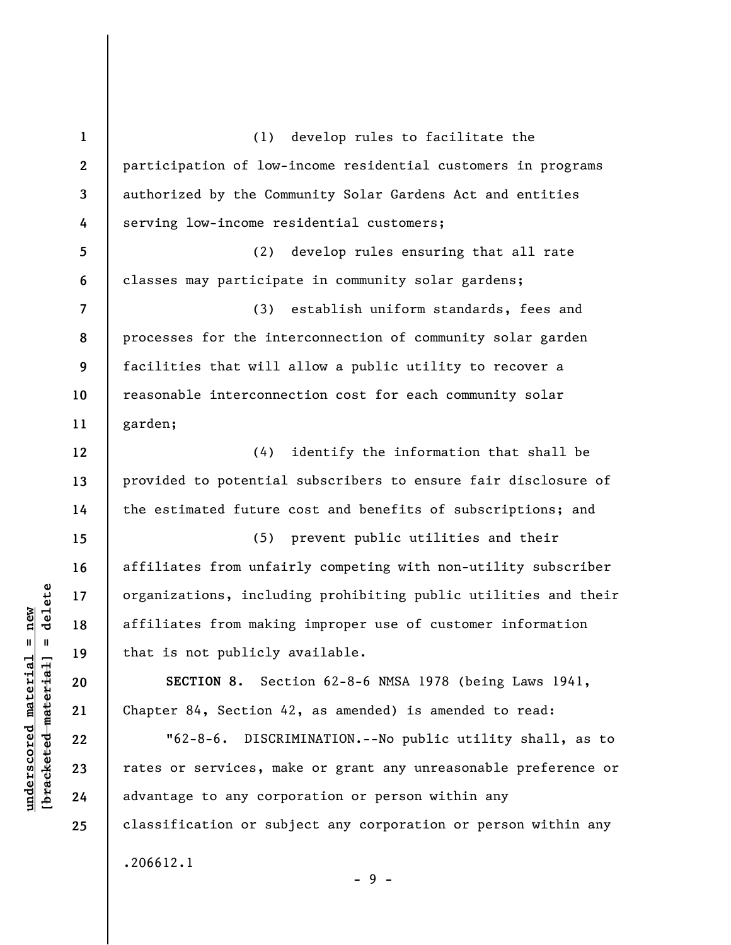**1 2 3 4 5 6 7 8 9 10 11 12 13 14 15 16 17 18 19 20 21 22 23 24 25**  (1) develop rules to facilitate the participation of low-income residential customers in programs authorized by the Community Solar Gardens Act and entities serving low-income residential customers; (2) develop rules ensuring that all rate classes may participate in community solar gardens; (3) establish uniform standards, fees and processes for the interconnection of community solar garden facilities that will allow a public utility to recover a reasonable interconnection cost for each community solar garden; (4) identify the information that shall be provided to potential subscribers to ensure fair disclosure of the estimated future cost and benefits of subscriptions; and (5) prevent public utilities and their affiliates from unfairly competing with non-utility subscriber organizations, including prohibiting public utilities and their affiliates from making improper use of customer information that is not publicly available. **SECTION 8.** Section 62-8-6 NMSA 1978 (being Laws 1941, Chapter 84, Section 42, as amended) is amended to read: "62-8-6. DISCRIMINATION.--No public utility shall, as to rates or services, make or grant any unreasonable preference or advantage to any corporation or person within any classification or subject any corporation or person within any .206612.1

 $\frac{1}{2}$  intereted material = delete **[bracketed material] = delete**  $underscored material = new$ **underscored material = new**

- 9 -